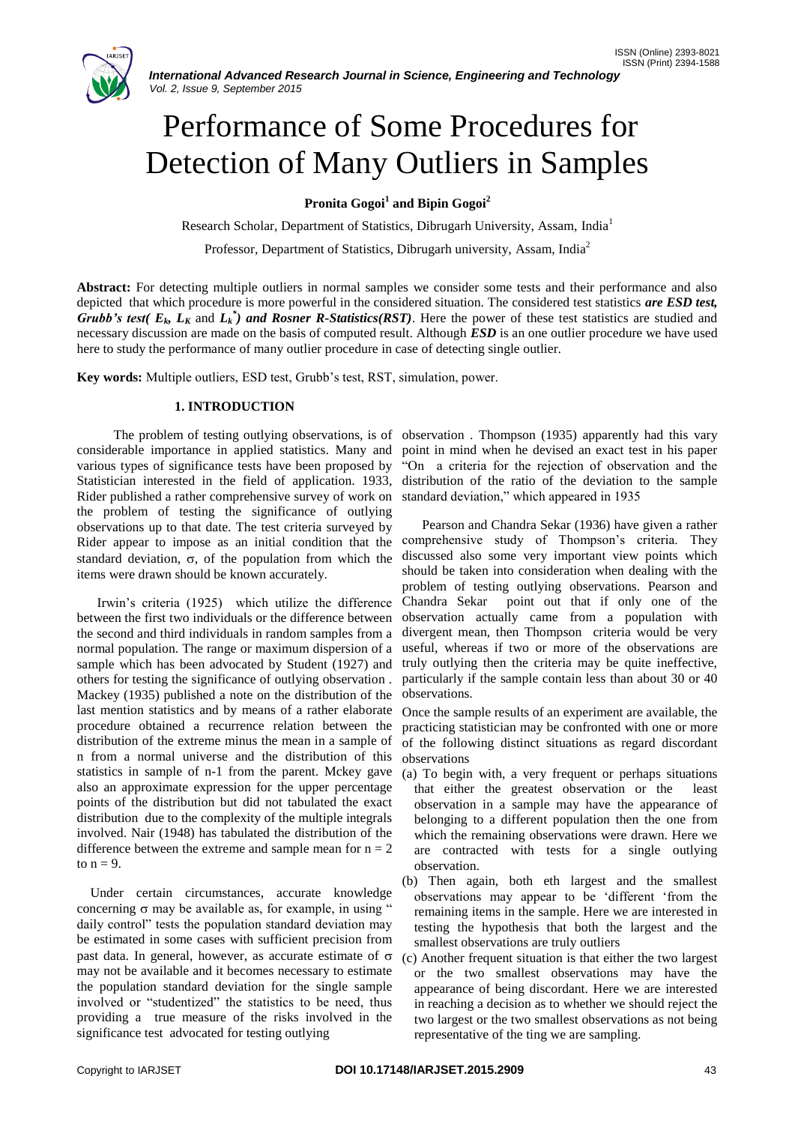

# Performance of Some Procedures for Detection of Many Outliers in Samples

**Pronita Gogoi<sup>1</sup> and Bipin Gogoi<sup>2</sup>**

Research Scholar, Department of Statistics, Dibrugarh University, Assam, India<sup>1</sup>

Professor, Department of Statistics, Dibrugarh university, Assam, India<sup>2</sup>

**Abstract:** For detecting multiple outliers in normal samples we consider some tests and their performance and also depicted that which procedure is more powerful in the considered situation. The considered test statistics *are ESD test, Grubb's test*( $E_k$ ,  $L_k$  and  $L_k^*$ ) and Rosner R-Statistics(RST). Here the power of these test statistics are studied and necessary discussion are made on the basis of computed result. Although *ESD* is an one outlier procedure we have used here to study the performance of many outlier procedure in case of detecting single outlier.

**Key words:** Multiple outliers, ESD test, Grubb"s test, RST, simulation, power.

# **1. INTRODUCTION**

 The problem of testing outlying observations, is of observation . Thompson (1935) apparently had this vary considerable importance in applied statistics. Many and various types of significance tests have been proposed by Statistician interested in the field of application. 1933, distribution of the ratio of the deviation to the sample Rider published a rather comprehensive survey of work on standard deviation," which appeared in 1935 the problem of testing the significance of outlying observations up to that date. The test criteria surveyed by Rider appear to impose as an initial condition that the standard deviation,  $\sigma$ , of the population from which the items were drawn should be known accurately.

 Irwin"s criteria (1925) which utilize the difference between the first two individuals or the difference between the second and third individuals in random samples from a normal population. The range or maximum dispersion of a sample which has been advocated by Student (1927) and others for testing the significance of outlying observation . Mackey (1935) published a note on the distribution of the last mention statistics and by means of a rather elaborate procedure obtained a recurrence relation between the distribution of the extreme minus the mean in a sample of n from a normal universe and the distribution of this statistics in sample of n-1 from the parent. Mckey gave also an approximate expression for the upper percentage points of the distribution but did not tabulated the exact distribution due to the complexity of the multiple integrals involved. Nair (1948) has tabulated the distribution of the difference between the extreme and sample mean for  $n = 2$ to  $n = 9$ .

 Under certain circumstances, accurate knowledge concerning  $\sigma$  may be available as, for example, in using " daily control" tests the population standard deviation may be estimated in some cases with sufficient precision from past data. In general, however, as accurate estimate of  $\sigma$ may not be available and it becomes necessary to estimate the population standard deviation for the single sample involved or "studentized" the statistics to be need, thus providing a true measure of the risks involved in the significance test advocated for testing outlying

point in mind when he devised an exact test in his paper "On a criteria for the rejection of observation and the

 Pearson and Chandra Sekar (1936) have given a rather comprehensive study of Thompson"s criteria. They discussed also some very important view points which should be taken into consideration when dealing with the problem of testing outlying observations. Pearson and Chandra Sekar point out that if only one of the observation actually came from a population with divergent mean, then Thompson criteria would be very useful, whereas if two or more of the observations are truly outlying then the criteria may be quite ineffective, particularly if the sample contain less than about 30 or 40 observations.

Once the sample results of an experiment are available, the practicing statistician may be confronted with one or more of the following distinct situations as regard discordant observations

- (a) To begin with, a very frequent or perhaps situations that either the greatest observation or the least observation in a sample may have the appearance of belonging to a different population then the one from which the remaining observations were drawn. Here we are contracted with tests for a single outlying observation.
- (b) Then again, both eth largest and the smallest observations may appear to be "different "from the remaining items in the sample. Here we are interested in testing the hypothesis that both the largest and the smallest observations are truly outliers
- (c) Another frequent situation is that either the two largest or the two smallest observations may have the appearance of being discordant. Here we are interested in reaching a decision as to whether we should reject the two largest or the two smallest observations as not being representative of the ting we are sampling.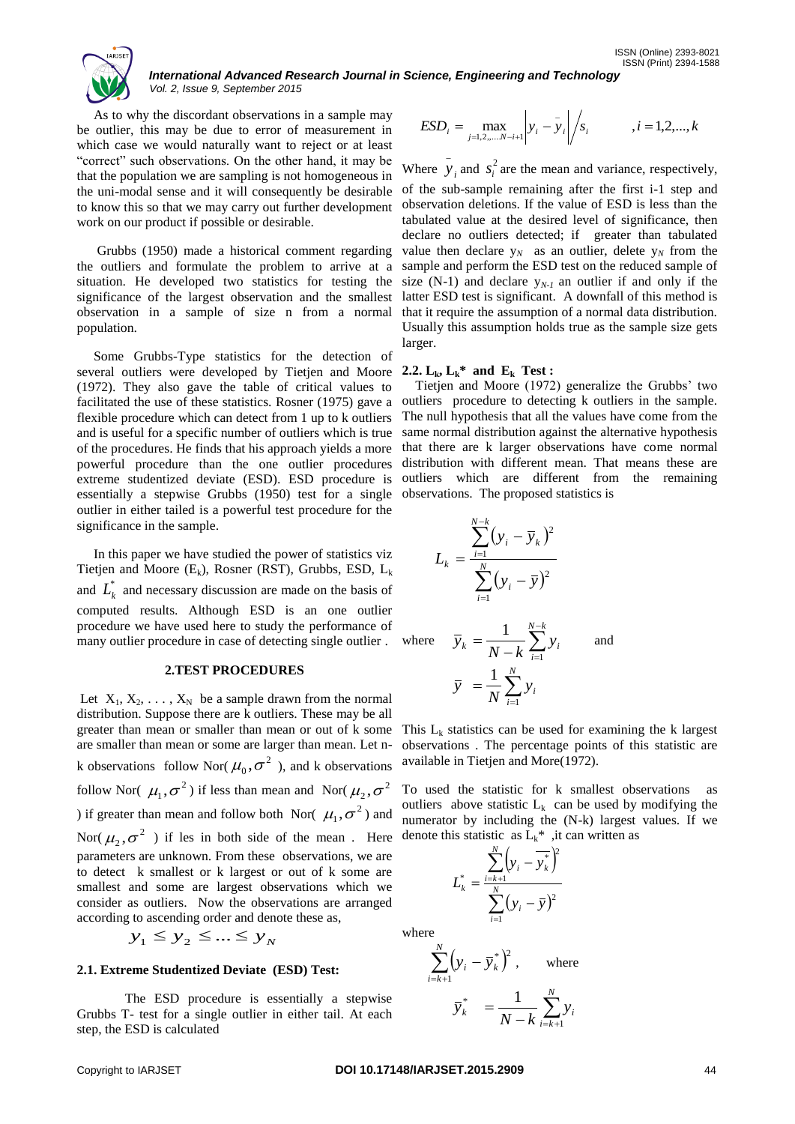

*International Advanced Research Journal in Science, Engineering and Technology Vol. 2, Issue 9, September 2015*

 As to why the discordant observations in a sample may be outlier, this may be due to error of measurement in which case we would naturally want to reject or at least "correct" such observations. On the other hand, it may be that the population we are sampling is not homogeneous in the uni-modal sense and it will consequently be desirable to know this so that we may carry out further development work on our product if possible or desirable.

 Grubbs (1950) made a historical comment regarding the outliers and formulate the problem to arrive at a situation. He developed two statistics for testing the significance of the largest observation and the smallest observation in a sample of size n from a normal population.

 Some Grubbs-Type statistics for the detection of several outliers were developed by Tietjen and Moore (1972). They also gave the table of critical values to facilitated the use of these statistics. Rosner (1975) gave a flexible procedure which can detect from 1 up to k outliers and is useful for a specific number of outliers which is true of the procedures. He finds that his approach yields a more powerful procedure than the one outlier procedures extreme studentized deviate (ESD). ESD procedure is essentially a stepwise Grubbs (1950) test for a single outlier in either tailed is a powerful test procedure for the significance in the sample.

 In this paper we have studied the power of statistics viz Tietjen and Moore  $(E_k)$ , Rosner (RST), Grubbs, ESD,  $L_k$ and  $L_k^*$  and necessary discussion are made on the basis of computed results. Although ESD is an one outlier procedure we have used here to study the performance of many outlier procedure in case of detecting single outlier .

#### **2.TEST PROCEDURES**

Let  $X_1, X_2, \ldots, X_N$  be a sample drawn from the normal distribution. Suppose there are k outliers. These may be all greater than mean or smaller than mean or out of k some are smaller than mean or some are larger than mean. Let nk observations follow Nor( $\mu_0, \sigma^2$ ), and k observations follow Nor(  $\mu_1, \sigma^2$  ) if less than mean and Nor(  $\mu_2, \sigma^2$ ) if greater than mean and follow both Nor( $\mu_1, \sigma^2$ ) and Nor( $\mu_2, \sigma^2$ ) if les in both side of the mean. Here parameters are unknown. From these observations, we are to detect k smallest or k largest or out of k some are smallest and some are largest observations which we consider as outliers. Now the observations are arranged according to ascending order and denote these as,

$$
y_1 \le y_2 \le \dots \le y_N
$$

#### **2.1. Extreme Studentized Deviate (ESD) Test:**

The ESD procedure is essentially a stepwise Grubbs T- test for a single outlier in either tail. At each step, the ESD is calculated

$$
ESD_i = \max_{j=1,2,...,N-i+1} \left| y_i - \bar{y}_i \right| / s_i \qquad i = 1,2,...,k
$$

Where  $y_i$  and  $s_i^2$  $s_i^2$  are the mean and variance, respectively, of the sub-sample remaining after the first i-1 step and observation deletions. If the value of ESD is less than the tabulated value at the desired level of significance, then declare no outliers detected; if greater than tabulated value then declare  $y_N$  as an outlier, delete  $y_N$  from the sample and perform the ESD test on the reduced sample of size  $(N-1)$  and declare  $y_{N-1}$  an outlier if and only if the latter ESD test is significant. A downfall of this method is that it require the assumption of a normal data distribution. Usually this assumption holds true as the sample size gets larger.

## **2.2.**  $L_k$ ,  $L_k^*$  and  $E_k$  Test :

 $\overline{a}$ 

 Tietjen and Moore (1972) generalize the Grubbs" two outliers procedure to detecting k outliers in the sample. The null hypothesis that all the values have come from the same normal distribution against the alternative hypothesis that there are k larger observations have come normal distribution with different mean. That means these are outliers which are different from the remaining observations. The proposed statistics is

$$
L_k = \frac{\sum_{i=1}^{N-k} (y_i - \overline{y}_k)^2}{\sum_{i=1}^{N} (y_i - \overline{y})^2}
$$
  
there 
$$
\overline{y}_k = \frac{1}{N-k} \sum_{i=1}^{N-k} y_i
$$
 and 
$$
\overline{y} = \frac{1}{N} \sum_{i=1}^{N} y_i
$$

This  $L_k$  statistics can be used for examining the k largest observations . The percentage points of this statistic are available in Tietjen and More(1972).

To used the statistic for k smallest observations as outliers above statistic  $L_k$  can be used by modifying the numerator by including the (N-k) largest values. If we denote this statistic as  $L_k^*$ , it can written as

$$
L_{k}^{*} = \frac{\sum_{i=k+1}^{N} (y_{i} - \overline{y}_{k}^{*})^{2}}{\sum_{i=1}^{N} (y_{i} - \overline{y})^{2}}
$$

where

 $\mathbf{w}$ 

$$
\sum_{i=k+1}^{N} (y_i - \overline{y}_k^*)^2
$$
, where  

$$
\overline{y}_k^* = \frac{1}{N-k} \sum_{i=k+1}^{N} y_i
$$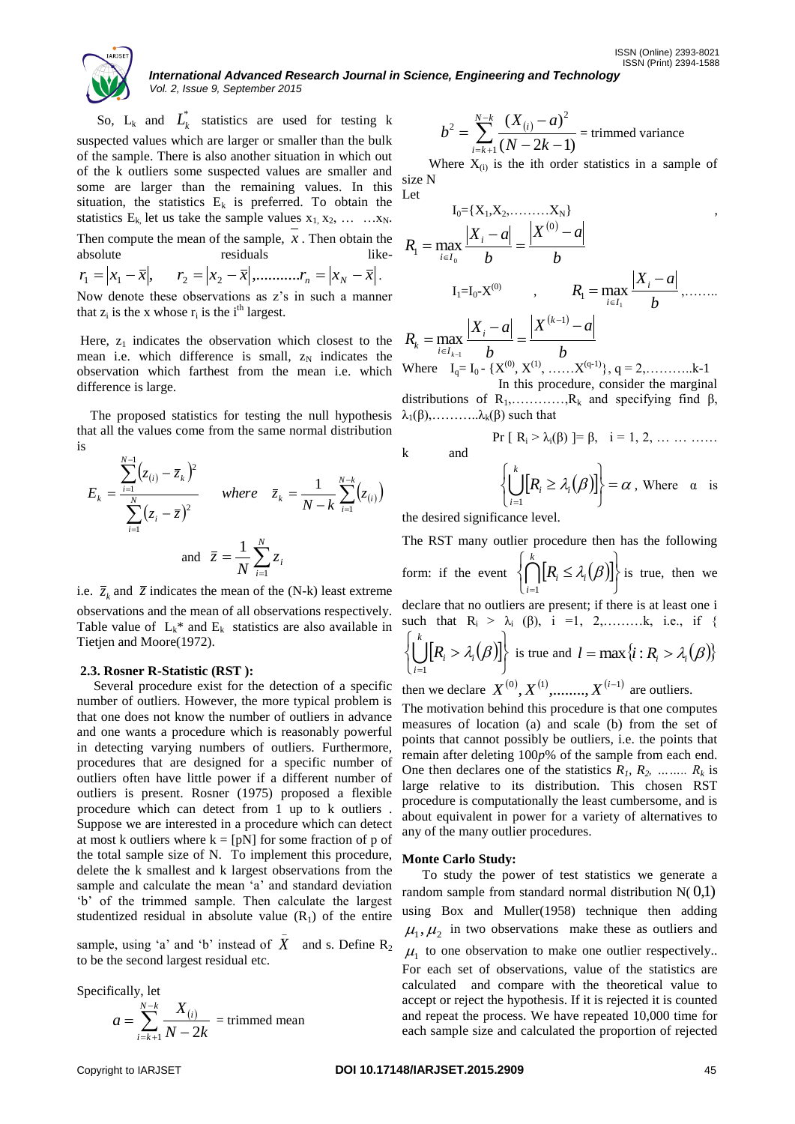*International Advanced Research Journal in Science, Engineering and Technology Vol. 2, Issue 9, September 2015*

Let

So, 
$$
L_k
$$
 and  $L_k^*$  statistics are used for testing k suspected values which are larger or smaller than the bulk of the sample. There is also another situation in which out of the k outliers some suspected values are smaller and some are larger than the remaining values. In this situation, the statistics  $E_k$  is preferred. To obtain the statistics  $E_k$ , let us take the sample values  $x_1, x_2, \ldots, x_N$ . Then compute the mean of the sample,  $x$ . Then obtain the absolute residuals like-

$$
r_1 = |x_1 - \overline{x}|, \qquad r_2 = |x_2 - \overline{x}|, \qquad \dots \dots \dots r_n = |x_N - \overline{x}|.
$$

Now denote these observations as z's in such a manner that  $z_i$  is the x whose  $r_i$  is the i<sup>th</sup> largest.

Here,  $z_1$  indicates the observation which closest to the mean i.e. which difference is small,  $z_N$  indicates the observation which farthest from the mean i.e. which difference is large.

 The proposed statistics for testing the null hypothesis that all the values come from the same normal distribution is

$$
E_{k} = \frac{\sum_{i=1}^{N-1} (z_{(i)} - \bar{z}_{k})^{2}}{\sum_{i=1}^{N} (z_{i} - \bar{z})^{2}} \quad where \quad \bar{z}_{k} = \frac{1}{N-k} \sum_{i=1}^{N-k} (z_{(i)})
$$
  
and  $\bar{z} = \frac{1}{N} \sum_{i=1}^{N} z_{i}$ 

i.e.  $\overline{z}_k$  and  $\overline{z}$  indicates the mean of the (N-k) least extreme observations and the mean of all observations respectively. Table value of  $L_k^*$  and  $E_k$  statistics are also available in Tietjen and Moore(1972).

# **2.3. Rosner R-Statistic (RST ):**

 Several procedure exist for the detection of a specific number of outliers. However, the more typical problem is that one does not know the number of outliers in advance and one wants a procedure which is reasonably powerful in detecting varying numbers of outliers. Furthermore, procedures that are designed for a specific number of outliers often have little power if a different number of outliers is present. Rosner (1975) proposed a flexible procedure which can detect from 1 up to k outliers . Suppose we are interested in a procedure which can detect at most k outliers where  $k = [pN]$  for some fraction of p of the total sample size of N. To implement this procedure, delete the k smallest and k largest observations from the sample and calculate the mean 'a' and standard deviation "b" of the trimmed sample. Then calculate the largest studentized residual in absolute value  $(R_1)$  of the entire

sample, using 'a' and 'b' instead of  $X$  and s. Define  $R_2$ to be the second largest residual etc.

\_

Specifically, let

$$
a = \sum_{i=k+1}^{N-k} \frac{X_{(i)}}{N-2k} = \text{trimmed mean}
$$

$$
b^{2} = \sum_{i=k+1}^{N-k} \frac{(X_{(i)} - a)^{2}}{(N - 2k - 1)}
$$
 = trimmed variance

Where  $X_{(i)}$  is the ith order statistics in a sample of size N

$$
I_{0} = \{X_{1}, X_{2}, \dots, X_{N}\}
$$
\n
$$
R_{1} = \max_{i \in I_{0}} \frac{|X_{i} - a|}{b} = \frac{|X^{(0)} - a|}{b}
$$
\n
$$
I_{1} = I_{0} - X^{(0)} \qquad , \qquad R_{1} = \max_{i \in I_{1}} \frac{|X_{i} - a|}{b}, \dots
$$
\n
$$
R_{k} = \max_{i \in I_{k-1}} \frac{|X_{i} - a|}{b} = \frac{|X^{(k-1)} - a|}{b}
$$
\n
$$
W_{1} = \sum_{i \in I_{k-1}} \frac{|X_{i} - a|}{b} = \frac{|X^{(k-1)} - a|}{b}
$$

Where  $I_q = I_0$  - { $X^{(0)}, X^{(1)}, \dots, X^{(q-1)}$ },  $q = 2, \dots, \dots, k-1$ In this procedure, consider the marginal

distributions of  $R_1$ , ..........., R<sub>k</sub> and specifying find  $\beta$ ,  $\lambda_1(\beta), \ldots, \lambda_k(\beta)$  such that

k and

$$
\left\{\left(\prod_{i=1}^k [R_i \geq \lambda_i(\beta)]\right\} = \alpha \text{ , where } \alpha \text{ is}
$$

Pr [  $R_i > \lambda_i(\beta)$  ]=  $\beta$ ,  $i = 1, 2, ... ... ...$ 

the desired significance level.

The RST many outlier procedure then has the following

form: if the event  $\{ \bigcap R_i \leq \lambda_i(\beta) \}$ J |} ı  $\overline{\mathcal{L}}$  $\left\{ \right.$  $\bigcap_{i=1}^k [R_i]$  $\bigcap_{i=1}^k$ *i*  $R_i \leq \lambda_i$ 1  $\lambda_i(\beta)|\}$  is true, then we declare that no outliers are present; if there is at least one i such that  $R_i > \lambda_i$  (β), i =1, 2,........k, i.e., if {

$$
\left\{\bigcup_{i=1}^k [R_i > \lambda_i(\beta)]\right\} \text{ is true and } l = \max\{i : R_i > \lambda_i(\beta)\}
$$

then we declare  $X^{(0)}, X^{(1)}, \ldots, X^{(i-1)}$  are outliers.

The motivation behind this procedure is that one computes measures of location (a) and scale (b) from the set of points that cannot possibly be outliers, i.e. the points that remain after deleting 100*p*% of the sample from each end. One then declares one of the statistics  $R_1, R_2, \ldots, R_k$  is large relative to its distribution. This chosen RST procedure is computationally the least cumbersome, and is about equivalent in power for a variety of alternatives to any of the many outlier procedures.

### **Monte Carlo Study:**

 To study the power of test statistics we generate a random sample from standard normal distribution  $N(0,1)$ using Box and Muller(1958) technique then adding  $\mu_1, \mu_2$  in two observations make these as outliers and  $\mu_1$  to one observation to make one outlier respectively.. For each set of observations, value of the statistics are calculated and compare with the theoretical value to accept or reject the hypothesis. If it is rejected it is counted and repeat the process. We have repeated 10,000 time for each sample size and calculated the proportion of rejected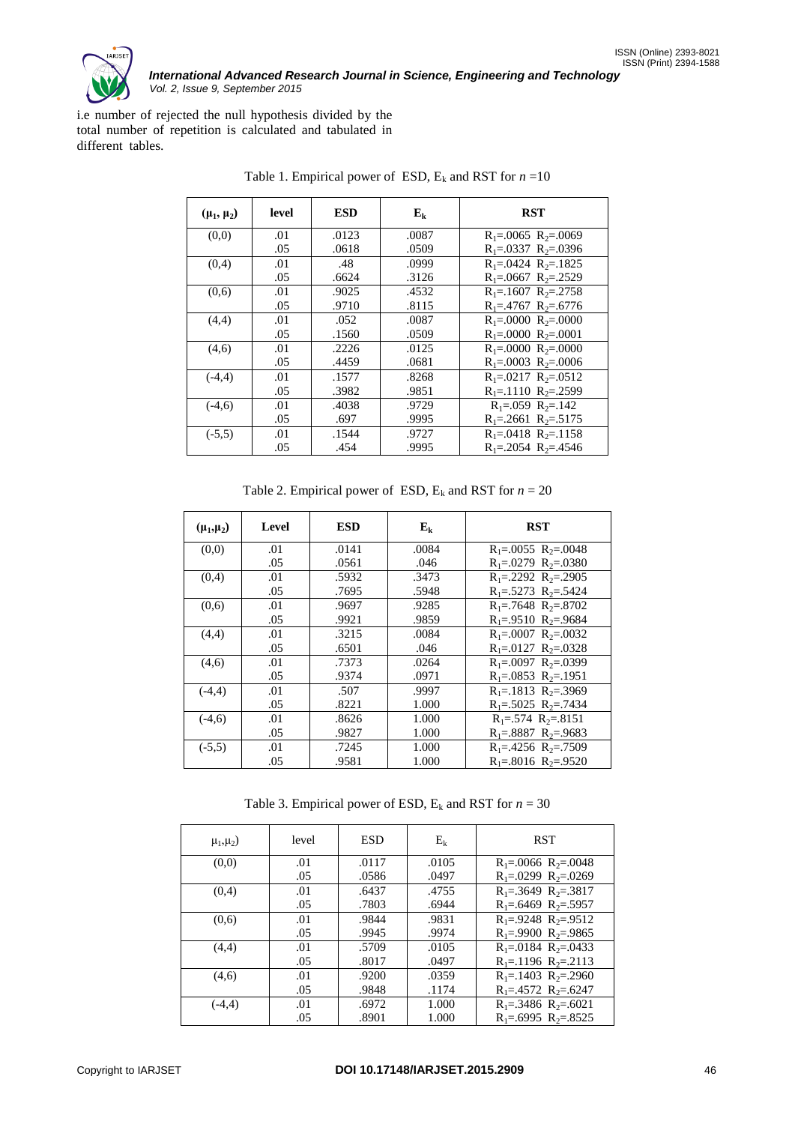

i.e number of rejected the null hypothesis divided by the total number of repetition is calculated and tabulated in different tables.

| $(\mu_1, \mu_2)$ | level | <b>ESD</b> | ${\bf E}_{\bf k}$ | <b>RST</b>                    |
|------------------|-------|------------|-------------------|-------------------------------|
| (0,0)            | .01   | .0123      | .0087             | $R_1 = 0.0065 R_2 = 0.0069$   |
|                  | .05   | .0618      | .0509             | $R_1 = 0.0337 R_2 = 0.0396$   |
| (0,4)            | .01   | .48        | .0999             | $R_1 = 0.0424 R_2 = 0.1825$   |
|                  | .05   | .6624      | .3126             | $R_1 = 0.0667 R_2 = 0.2529$   |
| (0,6)            | .01   | .9025      | .4532             | $R_1 = 1607 R_2 = 2758$       |
|                  | .05   | .9710      | .8115             | $R_1 = .4767 R_2 = .6776$     |
| (4,4)            | .01   | .052       | .0087             | $R_1 = 0.0000 R_2 = 0.0000$   |
|                  | .05   | .1560      | .0509             | $R_1 = 0.000 R_2 = 0.0001$    |
| (4,6)            | .01   | .2226      | .0125             | $R_1 = 0.000 R_2 = 0.0000$    |
|                  | .05   | .4459      | .0681             | $R_1 = 0.0003 R_2 = 0.0006$   |
| $(-4,4)$         | .01   | .1577      | .8268             | $R_1 = 0217 R_2 = 0512$       |
|                  | .05   | .3982      | .9851             | $R_1 = 1110 R_2 = 2599$       |
| $(-4,6)$         | .01   | .4038      | .9729             | $R_1 = .059$ $R_2 = .142$     |
|                  | .05   | .697       | .9995             | $R_1 = 2661 R_2 = 5175$       |
| $(-5,5)$         | .01   | .1544      | .9727             | $R_1 = 0.0418$ $R_2 = 0.1158$ |
|                  | .05   | .454       | .9995             | $R_1 = 2054$ $R_2 = 4546$     |

Table 1. Empirical power of ESD,  $E_k$  and RST for  $n = 10$ 

Table 2. Empirical power of ESD,  $E_k$  and RST for  $n = 20$ 

| $(\mu_1,\mu_2)$ | Level | <b>ESD</b> | $E_k$ | <b>RST</b>                    |
|-----------------|-------|------------|-------|-------------------------------|
| (0,0)           | .01   | .0141      | .0084 | $R_1 = 0.0055 R_2 = 0.0048$   |
|                 | .05   | .0561      | .046  | $R_1 = 0.0279 R_2 = 0.0380$   |
| (0,4)           | .01   | .5932      | .3473 | $R_1 = 2292 R_2 = 2905$       |
|                 | .05   | .7695      | .5948 | $R_1 = .5273 R_2 = .5424$     |
| (0,6)           | .01   | .9697      | .9285 | $R_1 = .7648 R_2 = .8702$     |
|                 | .05   | .9921      | .9859 | $R_1 = 0.9510 R_2 = 0.9684$   |
| (4,4)           | .01   | .3215      | .0084 | $R_1 = 0.0007 R_2 = 0.0032$   |
|                 | .05   | .6501      | .046  | $R_1 = 0127 R_2 = 0328$       |
| (4,6)           | .01   | .7373      | .0264 | $R_1 = 0.0097 R_2 = 0.0399$   |
|                 | .05   | .9374      | .0971 | $R_1 = 0.0853$ $R_2 = 0.1951$ |
| $(-4,4)$        | .01   | .507       | .9997 | $R_1 = 1813 R_2 = 0.3969$     |
|                 | .05   | .8221      | 1.000 | $R_1 = .5025 R_2 = .7434$     |
| $(-4,6)$        | .01   | .8626      | 1.000 | $R_1 = .574 R_2 = .8151$      |
|                 | .05   | .9827      | 1.000 | $R_1 = .8887 R_2 = .9683$     |
| $(-5,5)$        | .01   | .7245      | 1.000 | $R_1 = .4256 R_2 = .7509$     |
|                 | .05   | .9581      | 1.000 | $R_1 = .8016 R_2 = .9520$     |

Table 3. Empirical power of ESD,  $E_k$  and RST for  $n = 30$ 

| $\mu_1, \mu_2$ ) | level | ESD   | $\mathrm{E_{k}}$ | <b>RST</b>                    |
|------------------|-------|-------|------------------|-------------------------------|
| (0,0)            | .01   | .0117 | .0105            | $R_1 = 0.0066 R_2 = 0.0048$   |
|                  | .05   | .0586 | .0497            | $R_1 = 0.0299$ $R_2 = 0.0269$ |
| (0,4)            | .01   | .6437 | .4755            | $R_1 = .3649$ $R_2 = .3817$   |
|                  | .05   | .7803 | .6944            | $R_1 = .6469 R_2 = .5957$     |
| (0,6)            | .01   | .9844 | .9831            | $R_1 = .9248 R_2 = .9512$     |
|                  | .05   | .9945 | .9974            | $R_1 = .9900 R_2 = .9865$     |
| (4,4)            | .01   | .5709 | .0105            | $R_1 = 0.0184$ $R_2 = 0.0433$ |
|                  | .05   | .8017 | .0497            | $R_1 = 1196 R_2 = 2113$       |
| (4,6)            | .01   | .9200 | .0359            | $R_1 = 1403 R_2 = 2960$       |
|                  | .05   | .9848 | .1174            | $R_1 = .4572 R_2 = .6247$     |
| $(-4.4)$         | .01   | .6972 | 1.000            | $R_1 = .3486 R_2 = .6021$     |
|                  | .05   | .8901 | 1.000            | $R_1 = .6995 R_2 = .8525$     |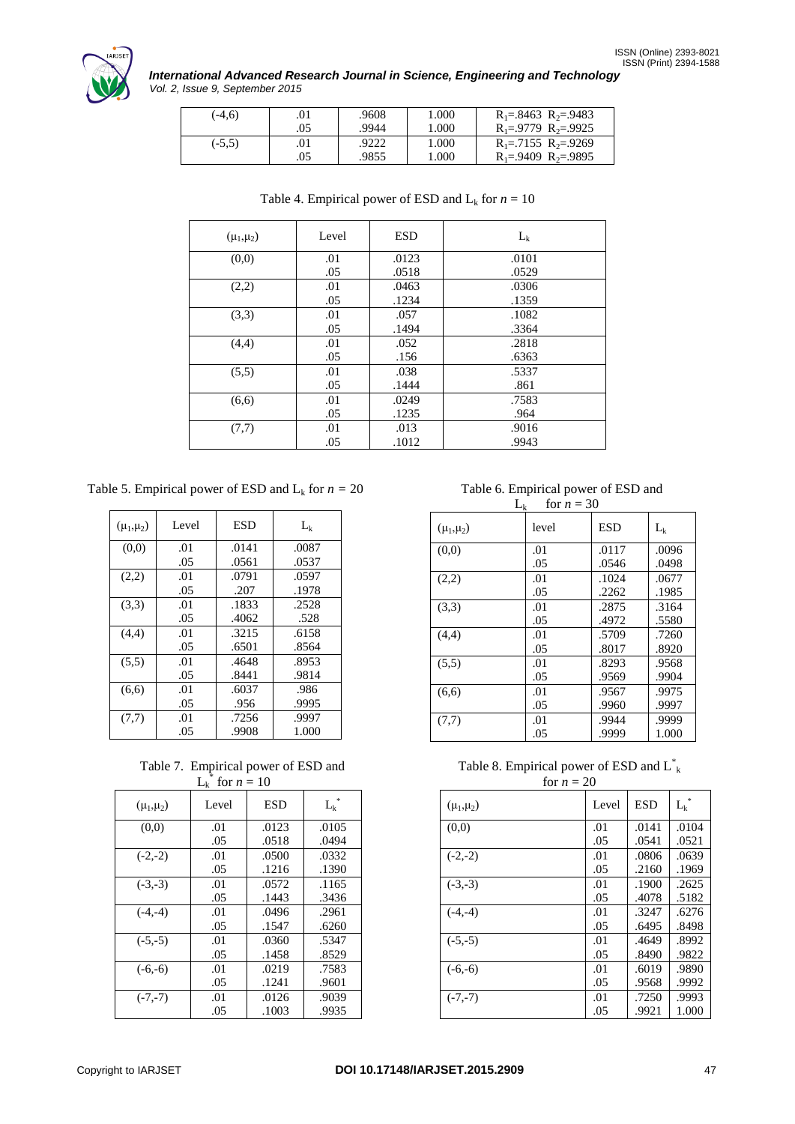

# *International Advanced Research Journal in Science, Engineering and Technology Vol. 2, Issue 9, September 2015*

| $(-4.6)$ | .01 | .9608 | 1.000 | $R_1 = .8463 R_2 = .9483$   |
|----------|-----|-------|-------|-----------------------------|
|          | .05 | .9944 | 1.000 | $R_1 = .9779 R_2 = .9925$   |
| $(-5.5)$ | .01 | .9222 | 1.000 | $R_1 = .7155 R_2 = .9269$   |
|          | .05 | .9855 | 1.000 | $R_1 = 0.9409 R_2 = 0.9895$ |

| $(\mu_1,\mu_2)$ | Level | <b>ESD</b> | $L_k$ |
|-----------------|-------|------------|-------|
| (0,0)           | .01   | .0123      | .0101 |
|                 | .05   | .0518      | .0529 |
| (2,2)           | .01   | .0463      | .0306 |
|                 | .05   | .1234      | .1359 |
| (3,3)           | .01   | .057       | .1082 |
|                 | .05   | .1494      | .3364 |
| (4,4)           | .01   | .052       | .2818 |
|                 | .05   | .156       | .6363 |
| (5,5)           | .01   | .038       | .5337 |
|                 | .05   | .1444      | .861  |
| (6,6)           | .01   | .0249      | .7583 |
|                 | .05   | .1235      | .964  |
| (7,7)           | .01   | .013       | .9016 |
|                 | .05   | .1012      | .9943 |

Table 4. Empirical power of ESD and  $L_k$  for  $n = 10$ 

Table 5. Empirical power of ESD and  $L_k$  for  $n = 20$ 

| $(\mu_1, \mu_2)$ | Level | ESD   | $L_{k}$ |
|------------------|-------|-------|---------|
| (0,0)            | .01   | .0141 | .0087   |
|                  | .05   | .0561 | .0537   |
| (2,2)            | .01   | .0791 | .0597   |
|                  | .05   | .207  | .1978   |
| (3,3)            | .01   | .1833 | .2528   |
|                  | .05   | .4062 | .528    |
| (4,4)            | .01   | .3215 | .6158   |
|                  | .05   | .6501 | .8564   |
| (5,5)            | .01   | .4648 | .8953   |
|                  | .05   | .8441 | .9814   |
| (6,6)            | .01   | .6037 | .986    |
|                  | .05   | .956  | .9995   |
| (7,7)            | .01   | .7256 | .9997   |
|                  | .05   | .9908 | 1.000   |

Table 7. Empirical power of ESD and  $L_k^*$  for  $n = 10$ 

|                 | $-k$<br>10111 |       |         |
|-----------------|---------------|-------|---------|
| $(\mu_1,\mu_2)$ | Level         | ESD   | $L_{k}$ |
| (0,0)           | .01           | .0123 | .0105   |
|                 | .05           | .0518 | .0494   |
| $(-2,-2)$       | .01           | .0500 | .0332   |
|                 | .05           | .1216 | .1390   |
| $(-3,-3)$       | .01           | .0572 | .1165   |
|                 | .05           | .1443 | .3436   |
| $(-4,-4)$       | .01           | .0496 | .2961   |
|                 | .05           | .1547 | .6260   |
| $(-5,-5)$       | .01           | .0360 | .5347   |
|                 | .05           | .1458 | .8529   |
| $(-6,-6)$       | .01           | .0219 | .7583   |
|                 | .05           | .1241 | .9601   |
| $(-7,-7)$       | .01           | .0126 | .9039   |
|                 | .05           | .1003 | .9935   |

 Table 6. Empirical power of ESD and  $L_k$  for  $n = 30$ 

| $L_k$<br>$for n = 30$ |       |            |       |  |  |
|-----------------------|-------|------------|-------|--|--|
| $(\mu_1,\mu_2)$       | level | <b>ESD</b> | $L_k$ |  |  |
| (0,0)                 | .01   | .0117      | .0096 |  |  |
|                       | .05   | .0546      | .0498 |  |  |
| (2,2)                 | .01   | .1024      | .0677 |  |  |
|                       | .05   | .2262      | .1985 |  |  |
| (3,3)                 | .01   | .2875      | .3164 |  |  |
|                       | .05   | .4972      | .5580 |  |  |
| (4,4)                 | .01   | .5709      | .7260 |  |  |
|                       | .05   | .8017      | .8920 |  |  |
| (5,5)                 | .01   | .8293      | .9568 |  |  |
|                       | .05   | .9569      | .9904 |  |  |
| (6,6)                 | .01   | .9567      | .9975 |  |  |
|                       | .05   | .9960      | .9997 |  |  |
| (7,7)                 | .01   | .9944      | .9999 |  |  |
|                       | .05   | .9999      | 1.000 |  |  |
|                       |       |            |       |  |  |

Table 8. Empirical power of ESD and  $L^*$  $f_{\alpha\mu} = 20$ 

| $for n = 20$    |       |            |       |  |  |
|-----------------|-------|------------|-------|--|--|
| $(\mu_1,\mu_2)$ | Level | <b>ESD</b> | $L_k$ |  |  |
| (0,0)           | .01   | .0141      | .0104 |  |  |
|                 | .05   | .0541      | .0521 |  |  |
| $(-2,-2)$       | .01   | .0806      | .0639 |  |  |
|                 | .05   | .2160      | .1969 |  |  |
| $(-3,-3)$       | .01   | .1900      | .2625 |  |  |
|                 | .05   | .4078      | .5182 |  |  |
| $(-4,-4)$       | .01   | .3247      | .6276 |  |  |
|                 | .05   | .6495      | .8498 |  |  |
| $(-5,-5)$       | .01   | .4649      | .8992 |  |  |
|                 | .05   | .8490      | .9822 |  |  |
| $(-6,-6)$       | .01   | .6019      | .9890 |  |  |
|                 | .05   | .9568      | .9992 |  |  |
| $(-7,-7)$       | .01   | .7250      | .9993 |  |  |
|                 | .05   | .9921      | 1.000 |  |  |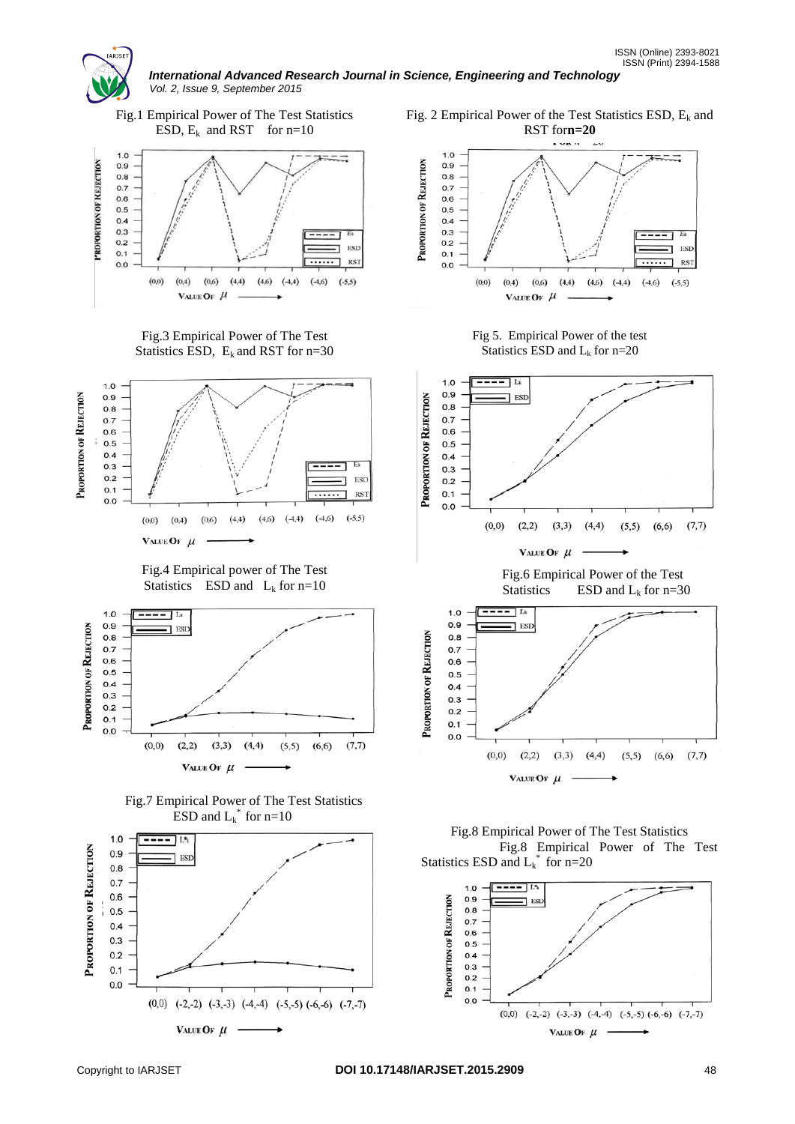



 $(0,0)$   $(-2,-2)$   $(-3,-3)$   $(-4,-4)$   $(-5,-5)$   $(-6,-6)$   $(-7,-7)$ 

VALUE OF  $\mu$  -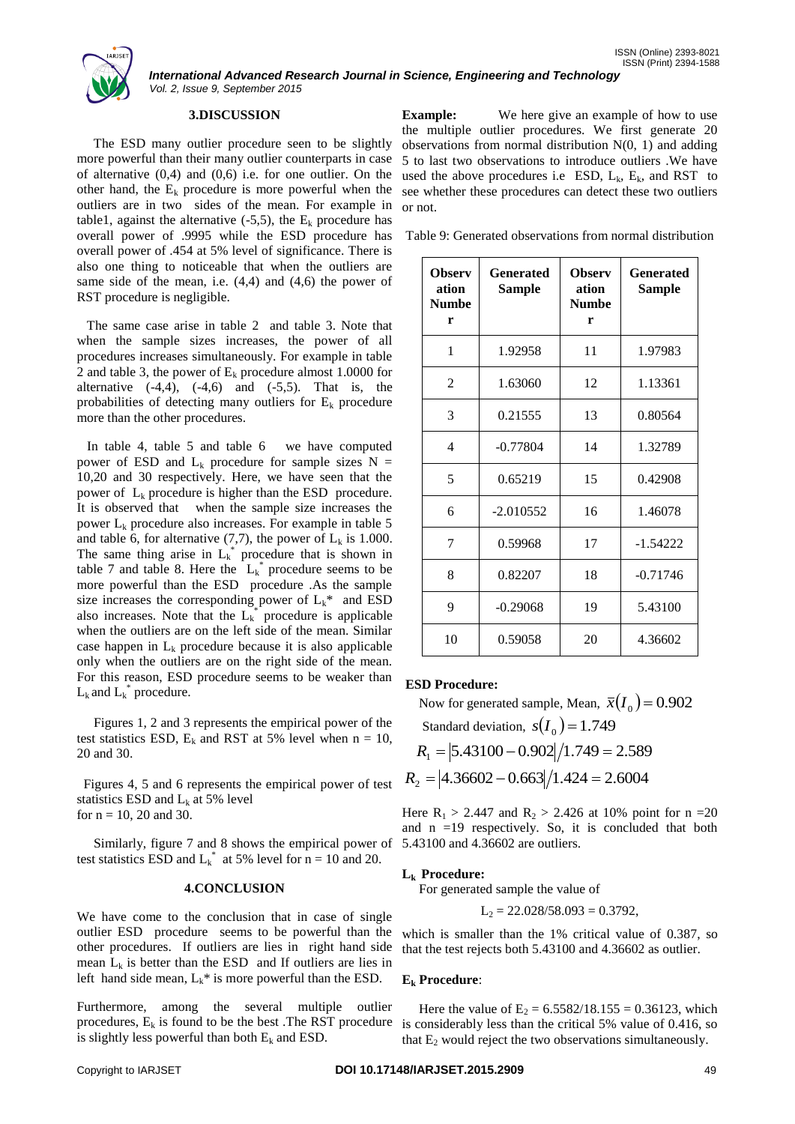

# **3.DISCUSSION**

 The ESD many outlier procedure seen to be slightly more powerful than their many outlier counterparts in case of alternative  $(0,4)$  and  $(0,6)$  i.e. for one outlier. On the other hand, the  $E_k$  procedure is more powerful when the outliers are in two sides of the mean. For example in table1, against the alternative  $(-5,5)$ , the E<sub>k</sub> procedure has overall power of .9995 while the ESD procedure has overall power of .454 at 5% level of significance. There is also one thing to noticeable that when the outliers are same side of the mean, i.e.  $(4,4)$  and  $(4,6)$  the power of RST procedure is negligible.

 The same case arise in table 2 and table 3. Note that when the sample sizes increases, the power of all procedures increases simultaneously. For example in table 2 and table 3, the power of  $E_k$  procedure almost 1.0000 for alternative  $(-4,4)$ ,  $(-4,6)$  and  $(-5,5)$ . That is, the probabilities of detecting many outliers for  $E_k$  procedure more than the other procedures.

 In table 4, table 5 and table 6 we have computed power of ESD and  $L_k$  procedure for sample sizes N = 10,20 and 30 respectively. Here, we have seen that the power of  $L_k$  procedure is higher than the ESD procedure. It is observed that when the sample size increases the power  $L_k$  procedure also increases. For example in table 5 and table 6, for alternative (7,7), the power of  $L_k$  is 1.000. The same thing arise in  $L_k^*$  procedure that is shown in table 7 and table 8. Here the  $L_k^*$  procedure seems to be more powerful than the ESD procedure .As the sample size increases the corresponding power of  $L_k^*$  and ESD also increases. Note that the  $L_k^*$  procedure is applicable when the outliers are on the left side of the mean. Similar case happen in  $L_k$  procedure because it is also applicable only when the outliers are on the right side of the mean. For this reason, ESD procedure seems to be weaker than  $L_k$  and  $L_k^*$  procedure.

 Figures 1, 2 and 3 represents the empirical power of the test statistics ESD,  $E_k$  and RST at 5% level when  $n = 10$ , 20 and 30.

 Figures 4, 5 and 6 represents the empirical power of test statistics ESD and  $L_k$  at 5% level for  $n = 10$ , 20 and 30.

 Similarly, figure 7 and 8 shows the empirical power of test statistics ESD and  $L_k^*$  at 5% level for  $n = 10$  and 20.

# **4.CONCLUSION**

We have come to the conclusion that in case of single outlier ESD procedure seems to be powerful than the other procedures. If outliers are lies in right hand side mean  $L_k$  is better than the ESD and If outliers are lies in left hand side mean,  $L_k^*$  is more powerful than the ESD.

Furthermore, among the several multiple outlier procedures,  $E_k$  is found to be the best . The RST procedure is slightly less powerful than both  $E_k$  and ESD.

**Example:** We here give an example of how to use the multiple outlier procedures. We first generate 20 observations from normal distribution  $N(0, 1)$  and adding 5 to last two observations to introduce outliers .We have used the above procedures i.e ESD,  $L_k$ ,  $E_k$ , and RST to see whether these procedures can detect these two outliers or not.

Table 9: Generated observations from normal distribution

| <b>Observ</b><br>ation<br><b>Numbe</b><br>r | Generated<br><b>Sample</b> | <b>Observ</b><br>ation<br><b>Numbe</b><br>r | Generated<br>Sample |
|---------------------------------------------|----------------------------|---------------------------------------------|---------------------|
| 1                                           | 1.92958                    | 11                                          | 1.97983             |
| $\mathfrak{D}$                              | 1.63060                    | 12                                          | 1.13361             |
| 3                                           | 0.21555                    | 13                                          | 0.80564             |
| $\overline{4}$                              | $-0.77804$                 | 14                                          | 1.32789             |
| 5                                           | 0.65219                    | 15                                          | 0.42908             |
| 6                                           | $-2.010552$                | 16                                          | 1.46078             |
| 7                                           | 0.59968                    | 17                                          | $-1.54222$          |
| 8                                           | 0.82207                    | 18                                          | $-0.71746$          |
| 9                                           | $-0.29068$                 | 19                                          | 5.43100             |
| 10                                          | 0.59058                    | 20                                          | 4.36602             |

# **ESD Procedure:**

Now for generated sample, Mean,  $\bar{x}(I_0) = 0.902$ 

Standard deviation,  $s(I_0) = 1.749$ 

$$
R_1 = |5.43100 - 0.902| / 1.749 = 2.589
$$

 $R_2 = |4.36602 - 0.663|/1.424 = 2.6004$ 

Here  $R_1 > 2.447$  and  $R_2 > 2.426$  at 10% point for n =20 and  $n = 19$  respectively. So, it is concluded that both 5.43100 and 4.36602 are outliers.

# **Lk Procedure:**

For generated sample the value of

$$
L_2 = 22.028/58.093 = 0.3792,
$$

which is smaller than the 1% critical value of 0.387, so that the test rejects both 5.43100 and 4.36602 as outlier.

# **E<sup>k</sup> Procedure**:

Here the value of  $E_2 = 6.5582/18.155 = 0.36123$ , which is considerably less than the critical 5% value of 0.416, so that  $E_2$  would reject the two observations simultaneously.